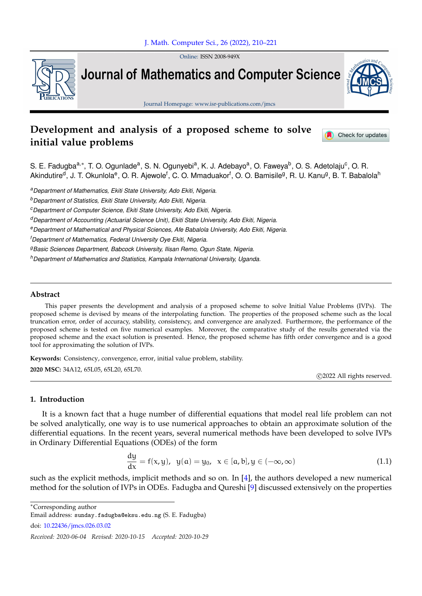Online: ISSN 2008-949X



**Journal of Mathematics and Computer Science** 



Journal Homepage: www.isr-publications.com/jmcs

# **Development and analysis of a proposed scheme to solve initial value problems**

Check for updates

S. E. Fadugba<sup>a,</sup>\*, T. O. Ogunlade<sup>a</sup>, S. N. Ogunyebi<sup>a</sup>, K. J. Adebayo<sup>a</sup>, O. Faweya<sup>b</sup>, O. S. Adetolaju<sup>c</sup>, O. R. Akindutire<sup>d</sup>, J. T. Okunlola<sup>e</sup>, O. R. Ajewole<sup>f</sup>, C. O. Mmaduakor<sup>f</sup>, O. O. Bamisile<sup>g</sup>, R. U. Kanu<sup>g</sup>, B. T. Babalola<sup>h</sup>

*<sup>a</sup>Department of Mathematics, Ekiti State University, Ado Ekiti, Nigeria.*

*<sup>b</sup>Department of Statistics, Ekiti State University, Ado Ekiti, Nigeria.*

*<sup>c</sup>Department of Computer Science, Ekiti State University, Ado Ekiti, Nigeria.*

*<sup>d</sup>Department of Accounting (Actuarial Science Unit), Ekiti State University, Ado Ekiti, Nigeria.*

*<sup>e</sup>Department of Mathematical and Physical Sciences, Afe Babalola University, Ado Ekiti, Nigeria.*

*<sup>f</sup>Department of Mathematics, Federal University Oye Ekiti, Nigeria.*

*<sup>g</sup>Basic Sciences Department, Babcock University, Ilisan Remo, Ogun State, Nigeria.*

*<sup>h</sup>Department of Mathematics and Statistics, Kampala International University, Uganda.*

## **Abstract**

This paper presents the development and analysis of a proposed scheme to solve Initial Value Problems (IVPs). The proposed scheme is devised by means of the interpolating function. The properties of the proposed scheme such as the local truncation error, order of accuracy, stability, consistency, and convergence are analyzed. Furthermore, the performance of the proposed scheme is tested on five numerical examples. Moreover, the comparative study of the results generated via the proposed scheme and the exact solution is presented. Hence, the proposed scheme has fifth order convergence and is a good tool for approximating the solution of IVPs.

**Keywords:** Consistency, convergence, error, initial value problem, stability. **2020 MSC:** 34A12, 65L05, 65L20, 65L70.

c 2022 All rights reserved.

## **1. Introduction**

It is a known fact that a huge number of differential equations that model real life problem can not be solved analytically, one way is to use numerical approaches to obtain an approximate solution of the differential equations. In the recent years, several numerical methods have been developed to solve IVPs in Ordinary Differential Equations (ODEs) of the form

<span id="page-0-0"></span>
$$
\frac{dy}{dx} = f(x, y), \ y(a) = y_0, \ x \in [a, b], y \in (-\infty, \infty)
$$
\n(1.1)

such as the explicit methods, implicit methods and so on. In [\[4\]](#page-10-0), the authors developed a new numerical method for the solution of IVPs in ODEs. Fadugba and Qureshi [\[9\]](#page-11-0) discussed extensively on the properties

<sup>∗</sup>Corresponding author

Email address: sunday.fadugba@eksu.edu.ng (S. E. Fadugba)

doi: [10.22436/jmcs.026.03.02](http://dx.doi.org/10.22436/jmcs.026.03.02)

*Received: 2020-06-04 Revised: 2020-10-15 Accepted: 2020-10-29*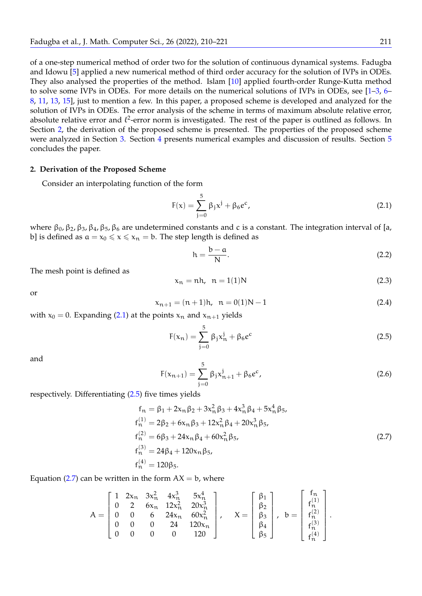of a one-step numerical method of order two for the solution of continuous dynamical systems. Fadugba and Idowu [\[5\]](#page-10-1) applied a new numerical method of third order accuracy for the solution of IVPs in ODEs. They also analysed the properties of the method. Islam [\[10\]](#page-11-1) applied fourth-order Runge-Kutta method to solve some IVPs in ODEs. For more details on the numerical solutions of IVPs in ODEs, see [\[1–](#page-10-2)[3,](#page-10-3) [6–](#page-10-4) [8,](#page-11-2) [11,](#page-11-3) [13,](#page-11-4) [15\]](#page-11-5), just to mention a few. In this paper, a proposed scheme is developed and analyzed for the solution of IVPs in ODEs. The error analysis of the scheme in terms of maximum absolute relative error, absolute relative error and  $\ell^2$ -error norm is investigated. The rest of the paper is outlined as follows. In Section [2,](#page-1-0) the derivation of the proposed scheme is presented. The properties of the proposed scheme were analyzed in Section [3.](#page-3-0) Section [4](#page-5-0) presents numerical examples and discussion of results. Section [5](#page-10-5) concludes the paper.

#### <span id="page-1-0"></span>**2. Derivation of the Proposed Scheme**

Consider an interpolating function of the form

<span id="page-1-1"></span>
$$
F(x) = \sum_{j=0}^{5} \beta_j x^j + \beta_6 e^c,
$$
 (2.1)

where  $β_0$ ,  $β_2$ ,  $β_3$ ,  $β_4$ ,  $β_5$ ,  $β_6$  are undetermined constants and c is a constant. The integration interval of [a, b] is defined as  $a = x_0 \le x \le x_n = b$ . The step length is defined as

$$
h = \frac{b - a}{N}.
$$
\n(2.2)

The mesh point is defined as

<span id="page-1-2"></span>
$$
x_n = nh, \quad n = 1(1)N \tag{2.3}
$$

<span id="page-1-6"></span>or

<span id="page-1-5"></span>
$$
x_{n+1} = (n+1)h, \quad n = 0(1)N - 1 \tag{2.4}
$$

with  $x_0 = 0$ . Expanding [\(2.1\)](#page-1-1) at the points  $x_n$  and  $x_{n+1}$  yields

$$
F(x_n) = \sum_{j=0}^{5} \beta_j x_n^j + \beta_6 e^c
$$
 (2.5)

<span id="page-1-4"></span>and

<span id="page-1-3"></span>
$$
F(x_{n+1}) = \sum_{j=0}^{5} \beta_j x_{n+1}^j + \beta_6 e^c,
$$
\n(2.6)

respectively. Differentiating [\(2.5\)](#page-1-2) five times yields

$$
f_n = \beta_1 + 2x_n \beta_2 + 3x_n^2 \beta_3 + 4x_n^3 \beta_4 + 5x_n^4 \beta_5,
$$
  
\n
$$
f_n^{(1)} = 2\beta_2 + 6x_n \beta_3 + 12x_n^2 \beta_4 + 20x_n^3 \beta_5,
$$
  
\n
$$
f_n^{(2)} = 6\beta_3 + 24x_n \beta_4 + 60x_n^2 \beta_5,
$$
  
\n
$$
f_n^{(3)} = 24\beta_4 + 120x_n \beta_5,
$$
  
\n
$$
f_n^{(4)} = 120\beta_5.
$$
\n(2.7)

Equation [\(2.7\)](#page-1-3) can be written in the form  $AX = b$ , where

$$
A = \left[\begin{array}{cccc} 1 & 2x_n & 3x_n^2 & 4x_n^3 & 5x_n^4 \\ 0 & 2 & 6x_n & 12x_n^2 & 20x_n^3 \\ 0 & 0 & 6 & 24x_n & 60x_n^2 \\ 0 & 0 & 0 & 24 & 120x_n \\ 0 & 0 & 0 & 0 & 120 \end{array}\right], \quad X = \left[\begin{array}{c} \beta_1 \\ \beta_2 \\ \beta_3 \\ \beta_4 \\ \beta_5 \end{array}\right], \quad b = \left[\begin{array}{c} f_n \\ f_n^{(1)} \\ f_n^{(2)} \\ f_n^{(3)} \\ f_n^{(4)} \end{array}\right].
$$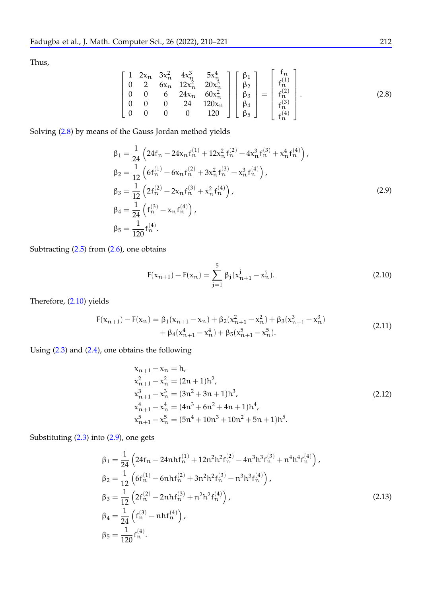<span id="page-2-0"></span>Thus,

$$
\begin{bmatrix} 1 & 2x_n & 3x_n^2 & 4x_n^3 & 5x_n^4 \ 0 & 2 & 6x_n & 12x_n^2 & 20x_n^3 \ 0 & 0 & 6 & 24x_n & 60x_n^2 \ 0 & 0 & 0 & 24 & 120x_n \ 0 & 0 & 0 & 0 & 120 \end{bmatrix} \begin{bmatrix} \beta_1 \\ \beta_2 \\ \beta_3 \\ \beta_4 \\ \beta_5 \end{bmatrix} = \begin{bmatrix} f_n \\ f_n^{(1)} \\ f_n^{(2)} \\ f_n^{(3)} \\ f_n^{(4)} \end{bmatrix}.
$$
 (2.8)

Solving [\(2.8\)](#page-2-0) by means of the Gauss Jordan method yields

<span id="page-2-2"></span>
$$
\beta_1 = \frac{1}{24} \left( 24f_n - 24x_n f_n^{(1)} + 12x_n^2 f_n^{(2)} - 4x_n^3 f_n^{(3)} + x_n^4 f_n^{(4)} \right),
$$
  
\n
$$
\beta_2 = \frac{1}{12} \left( 6f_n^{(1)} - 6x_n f_n^{(2)} + 3x_n^2 f_n^{(3)} - x_n^3 f_n^{(4)} \right),
$$
  
\n
$$
\beta_3 = \frac{1}{12} \left( 2f_n^{(2)} - 2x_n f_n^{(3)} + x_n^2 f_n^{(4)} \right),
$$
  
\n
$$
\beta_4 = \frac{1}{24} \left( f_n^{(3)} - x_n f_n^{(4)} \right),
$$
  
\n
$$
\beta_5 = \frac{1}{120} f_n^{(4)}.
$$
  
\n(2.9)

Subtracting [\(2.5\)](#page-1-2) from [\(2.6\)](#page-1-4), one obtains

<span id="page-2-1"></span>
$$
F(x_{n+1}) - F(x_n) = \sum_{j=1}^{5} \beta_j (x_{n+1}^j - x_n^j).
$$
 (2.10)

Therefore, [\(2.10\)](#page-2-1) yields

<span id="page-2-3"></span>
$$
F(x_{n+1}) - F(x_n) = \beta_1(x_{n+1} - x_n) + \beta_2(x_{n+1}^2 - x_n^2) + \beta_3(x_{n+1}^3 - x_n^3) + \beta_4(x_{n+1}^4 - x_n^4) + \beta_5(x_{n+1}^5 - x_n^5).
$$
\n(2.11)

Using [\(2.3\)](#page-1-5) and [\(2.4\)](#page-1-6), one obtains the following

<span id="page-2-4"></span>
$$
\begin{aligned}\n\mathbf{x}_{n+1} - \mathbf{x}_n &= \mathbf{h}, \\
\mathbf{x}_{n+1}^2 - \mathbf{x}_n^2 &= (2\mathbf{n} + 1)\mathbf{h}^2, \\
\mathbf{x}_{n+1}^3 - \mathbf{x}_n^3 &= (3\mathbf{n}^2 + 3\mathbf{n} + 1)\mathbf{h}^3, \\
\mathbf{x}_{n+1}^4 - \mathbf{x}_n^4 &= (4\mathbf{n}^3 + 6\mathbf{n}^2 + 4\mathbf{n} + 1)\mathbf{h}^4, \\
\mathbf{x}_{n+1}^5 - \mathbf{x}_n^5 &= (5\mathbf{n}^4 + 10\mathbf{n}^3 + 10\mathbf{n}^2 + 5\mathbf{n} + 1)\mathbf{h}^5.\n\end{aligned} \tag{2.12}
$$

Substituting [\(2.3\)](#page-1-5) into [\(2.9\)](#page-2-2), one gets

<span id="page-2-5"></span>
$$
\beta_1 = \frac{1}{24} \left( 24f_n - 24nhf_n^{(1)} + 12n^2h^2f_n^{(2)} - 4n^3h^3f_n^{(3)} + n^4h^4f_n^{(4)} \right),
$$
  
\n
$$
\beta_2 = \frac{1}{12} \left( 6f_n^{(1)} - 6nhf_n^{(2)} + 3n^2h^2f_n^{(3)} - n^3h^3f_n^{(4)} \right),
$$
  
\n
$$
\beta_3 = \frac{1}{12} \left( 2f_n^{(2)} - 2nhf_n^{(3)} + n^2h^2f_n^{(4)} \right),
$$
  
\n
$$
\beta_4 = \frac{1}{24} \left( f_n^{(3)} - nhf_n^{(4)} \right),
$$
  
\n
$$
\beta_5 = \frac{1}{120} f_n^{(4)}.
$$
  
\n(2.13)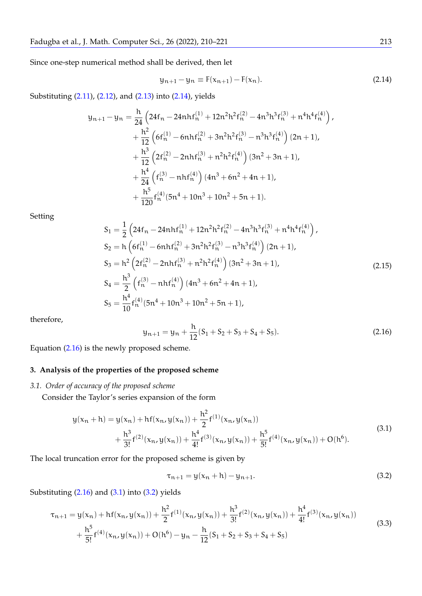Since one-step numerical method shall be derived, then let

<span id="page-3-1"></span>
$$
y_{n+1} - y_n \equiv F(x_{n+1}) - F(x_n).
$$
 (2.14)

Substituting [\(2.11\)](#page-2-3), [\(2.12\)](#page-2-4), and [\(2.13\)](#page-2-5) into [\(2.14\)](#page-3-1), yields

$$
y_{n+1} - y_n = \frac{h}{24} \left( 24f_n - 24nh f_n^{(1)} + 12n^2h^2f_n^{(2)} - 4n^3h^3f_n^{(3)} + n^4h^4f_n^{(4)} \right),
$$
  
+ 
$$
\frac{h^2}{12} \left( 6f_n^{(1)} - 6nhf_n^{(2)} + 3n^2h^2f_n^{(3)} - n^3h^3f_n^{(4)} \right) (2n+1),
$$
  
+ 
$$
\frac{h^3}{12} \left( 2f_n^{(2)} - 2nhf_n^{(3)} + n^2h^2f_n^{(4)} \right) (3n^2 + 3n + 1),
$$
  
+ 
$$
\frac{h^4}{24} \left( f_n^{(3)} - nhf_n^{(4)} \right) (4n^3 + 6n^2 + 4n + 1),
$$
  
+ 
$$
\frac{h^5}{120} f_n^{(4)} (5n^4 + 10n^3 + 10n^2 + 5n + 1).
$$

<span id="page-3-5"></span>Setting

$$
S_{1} = \frac{1}{2} \left( 24f_{n} - 24nh f_{n}^{(1)} + 12n^{2}h^{2}f_{n}^{(2)} - 4n^{3}h^{3}f_{n}^{(3)} + n^{4}h^{4}f_{n}^{(4)} \right),
$$
  
\n
$$
S_{2} = h \left( 6f_{n}^{(1)} - 6nh f_{n}^{(2)} + 3n^{2}h^{2}f_{n}^{(3)} - n^{3}h^{3}f_{n}^{(4)} \right) (2n + 1),
$$
  
\n
$$
S_{3} = h^{2} \left( 2f_{n}^{(2)} - 2nh f_{n}^{(3)} + n^{2}h^{2}f_{n}^{(4)} \right) (3n^{2} + 3n + 1),
$$
  
\n
$$
S_{4} = \frac{h^{3}}{2} \left( f_{n}^{(3)} - nh f_{n}^{(4)} \right) (4n^{3} + 6n^{2} + 4n + 1),
$$
  
\n
$$
S_{5} = \frac{h^{4}}{10} f_{n}^{(4)} (5n^{4} + 10n^{3} + 10n^{2} + 5n + 1),
$$
  
\n(2.15)

<span id="page-3-2"></span>therefore,

$$
y_{n+1} = y_n + \frac{h}{12}(S_1 + S_2 + S_3 + S_4 + S_5).
$$
 (2.16)

Equation [\(2.16\)](#page-3-2) is the newly proposed scheme.

## <span id="page-3-0"></span>**3. Analysis of the properties of the proposed scheme**

*3.1. Order of accuracy of the proposed scheme*

Consider the Taylor's series expansion of the form

$$
y(x_n + h) = y(x_n) + hf(x_n, y(x_n)) + \frac{h^2}{2}f^{(1)}(x_n, y(x_n)) + \frac{h^3}{3!}f^{(2)}(x_n, y(x_n)) + \frac{h^4}{4!}f^{(3)}(x_n, y(x_n)) + \frac{h^5}{5!}f^{(4)}(x_n, y(x_n)) + O(h^6).
$$
\n(3.1)

The local truncation error for the proposed scheme is given by

<span id="page-3-6"></span><span id="page-3-4"></span><span id="page-3-3"></span>
$$
\tau_{n+1} = y(x_n + h) - y_{n+1}.
$$
\n(3.2)

Substituting  $(2.16)$  and  $(3.1)$  into  $(3.2)$  yields

$$
\tau_{n+1} = y(x_n) + h f(x_n, y(x_n)) + \frac{h^2}{2} f^{(1)}(x_n, y(x_n)) + \frac{h^3}{3!} f^{(2)}(x_n, y(x_n)) + \frac{h^4}{4!} f^{(3)}(x_n, y(x_n)) + \frac{h^5}{5!} f^{(4)}(x_n, y(x_n)) + O(h^6) - y_n - \frac{h}{12}(S_1 + S_2 + S_3 + S_4 + S_5)
$$
\n(3.3)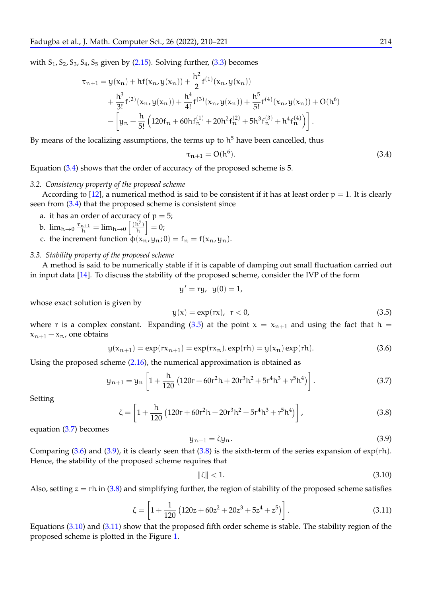with  $S_1$ ,  $S_2$ ,  $S_3$ ,  $S_4$ ,  $S_5$  given by [\(2.15\)](#page-3-5). Solving further, [\(3.3\)](#page-3-6) becomes

$$
\tau_{n+1} = y(x_n) + hf(x_n, y(x_n)) + \frac{h^2}{2} f^{(1)}(x_n, y(x_n)) \n+ \frac{h^3}{3!} f^{(2)}(x_n, y(x_n)) + \frac{h^4}{4!} f^{(3)}(x_n, y(x_n)) + \frac{h^5}{5!} f^{(4)}(x_n, y(x_n)) + O(h^6) \n- \left[ y_n + \frac{h}{5!} \left( 120f_n + 60hf_n^{(1)} + 20h^2f_n^{(2)} + 5h^3f_n^{(3)} + h^4f_n^{(4)} \right) \right].
$$

By means of the localizing assumptions, the terms up to  $h^5$  have been cancelled, thus

<span id="page-4-0"></span>
$$
\tau_{n+1} = O(h^6). \tag{3.4}
$$

Equation [\(3.4\)](#page-4-0) shows that the order of accuracy of the proposed scheme is 5.

#### <span id="page-4-8"></span>*3.2. Consistency property of the proposed scheme*

According to [\[12\]](#page-11-6), a numerical method is said to be consistent if it has at least order  $p = 1$ . It is clearly seen from [\(3.4\)](#page-4-0) that the proposed scheme is consistent since

a. it has an order of accuracy of  $p = 5$ ;

b. 
$$
\lim_{h \to 0} \frac{\tau_{n+1}}{h} = \lim_{h \to 0} \left[ \frac{(h^7)}{h} \right] = 0;
$$

c. the increment function  $\phi(x_n, y_n; 0) = f_n = f(x_n, y_n)$ .

#### <span id="page-4-9"></span>*3.3. Stability property of the proposed scheme*

A method is said to be numerically stable if it is capable of damping out small fluctuation carried out in input data [\[14\]](#page-11-7). To discuss the stability of the proposed scheme, consider the IVP of the form

<span id="page-4-1"></span>
$$
y' = ry, y(0) = 1,
$$

whose exact solution is given by

$$
y(x) = \exp(rx), \quad r < 0,\tag{3.5}
$$

where r is a complex constant. Expanding [\(3.5\)](#page-4-1) at the point  $x = x_{n+1}$  and using the fact that  $h =$  $x_{n+1} - x_n$ , one obtains

<span id="page-4-3"></span>
$$
y(x_{n+1}) = \exp(rx_{n+1}) = \exp(rx_n) \cdot \exp(rh) = y(x_n) \exp(rh).
$$
 (3.6)

Using the proposed scheme [\(2.16\)](#page-3-2), the numerical approximation is obtained as

$$
y_{n+1} = y_n \left[ 1 + \frac{h}{120} \left( 120r + 60r^2h + 20r^3h^2 + 5r^4h^3 + r^5h^4 \right) \right].
$$
 (3.7)

<span id="page-4-5"></span>Setting

<span id="page-4-4"></span>
$$
\zeta = \left[1 + \frac{h}{120} \left(120r + 60r^2h + 20r^3h^2 + 5r^4h^3 + r^5h^4\right)\right],\tag{3.8}
$$

equation [\(3.7\)](#page-4-2) becomes

<span id="page-4-2"></span>
$$
y_{n+1} = \zeta y_n. \tag{3.9}
$$

Comparing  $(3.6)$  and  $(3.9)$ , it is clearly seen that  $(3.8)$  is the sixth-term of the series expansion of exp(rh). Hence, the stability of the proposed scheme requires that

<span id="page-4-6"></span>
$$
\|\zeta\| < 1. \tag{3.10}
$$

<span id="page-4-7"></span>Also, setting  $z = rh$  in [\(3.8\)](#page-4-5) and simplifying further, the region of stability of the proposed scheme satisfies

$$
\zeta = \left[1 + \frac{1}{120} \left(120z + 60z^2 + 20z^3 + 5z^4 + z^5\right)\right].\tag{3.11}
$$

Equations [\(3.10\)](#page-4-6) and [\(3.11\)](#page-4-7) show that the proposed fifth order scheme is stable. The stability region of the proposed scheme is plotted in the Figure [1.](#page-5-1)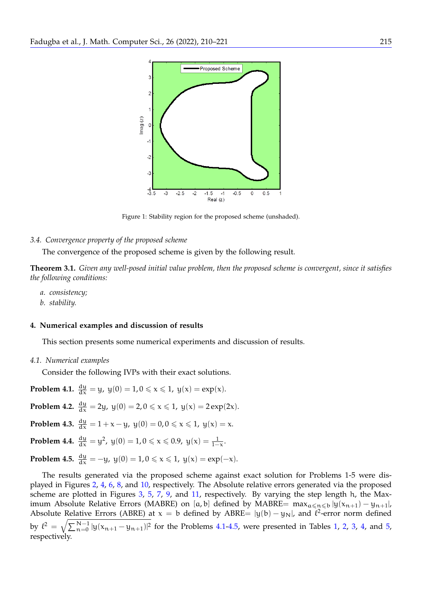

<span id="page-5-1"></span>Figure 1: Stability region for the proposed scheme (unshaded).

## *3.4. Convergence property of the proposed scheme*

The convergence of the proposed scheme is given by the following result.

**Theorem 3.1.** *Given any well-posed initial value problem, then the proposed scheme is convergent, since it satisfies the following conditions:*

- *a. consistency;*
- *b. stability.*

## <span id="page-5-0"></span>**4. Numerical examples and discussion of results**

This section presents some numerical experiments and discussion of results.

*4.1. Numerical examples*

Consider the following IVPs with their exact solutions.

<span id="page-5-5"></span><span id="page-5-4"></span><span id="page-5-2"></span>**Problem 4.1.**  $\frac{dy}{dx} = y$ ,  $y(0) = 1, 0 \le x \le 1$ ,  $y(x) = exp(x)$ . **Problem 4.2.**  $\frac{dy}{dx} = 2y$ ,  $y(0) = 2$ ,  $0 \le x \le 1$ ,  $y(x) = 2 \exp(2x)$ . **Problem 4.3.**  $\frac{dy}{dx} = 1 + x - y$ ,  $y(0) = 0, 0 \le x \le 1$ ,  $y(x) = x$ . **Problem 4.4.**  $\frac{dy}{dx} = y^2$ ,  $y(0) = 1, 0 \le x \le 0.9$ ,  $y(x) = \frac{1}{1-x}$ . **Problem 4.5.**  $\frac{dy}{dx} = -y$ ,  $y(0) = 1, 0 \le x \le 1$ ,  $y(x) = \exp(-x)$ .

<span id="page-5-6"></span><span id="page-5-3"></span>The results generated via the proposed scheme against exact solution for Problems 1-5 were displayed in Figures [2,](#page-6-0) [4,](#page-6-1) [6,](#page-7-0) [8,](#page-8-0) and [10,](#page-8-1) respectively. The Absolute relative errors generated via the proposed scheme are plotted in Figures [3,](#page-6-2) [5,](#page-7-1) [7,](#page-7-2) [9,](#page-8-2) and [11,](#page-9-0) respectively. By varying the step length h, the Maximum Absolute Relative Errors (MABRE) on [a, b] defined by MABRE=  $max_{a \leq x \leq b} |y(x_{n+1}) - y_{n+1}|$ , Absolute Relative Errors (ABRE) at  $x = b$  defined by ABRE=  $|y(b) - y_N|$ , and  $\ell^2$ -error norm defined by  $\ell^2 = \sqrt{\sum_{n=0}^{N-1} |y(x_{n+1} - y_{n+1})|^2}$  for the Problems [4.1-](#page-5-2)[4.5,](#page-5-3) were presented in Tables [1,](#page-9-1) [2,](#page-9-2) [3,](#page-9-3) [4,](#page-9-4) and [5,](#page-10-6) respectively.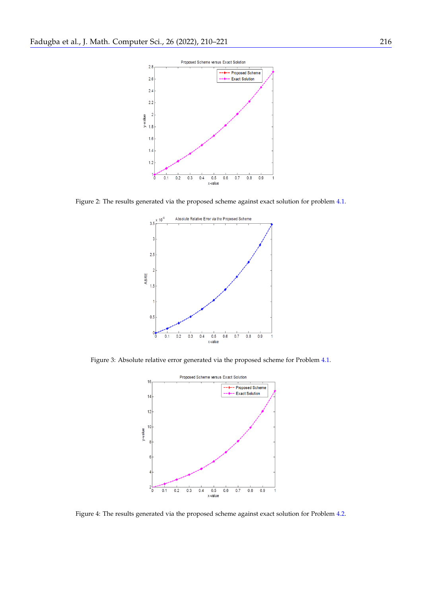

<span id="page-6-0"></span>Figure 2: The results generated via the proposed scheme against exact solution for problem [4.1.](#page-5-2)



Figure 3: Absolute relative error generated via the proposed scheme for Problem [4.1.](#page-5-2)

<span id="page-6-2"></span>

<span id="page-6-1"></span>Figure 4: The results generated via the proposed scheme against exact solution for Problem [4.2.](#page-5-4)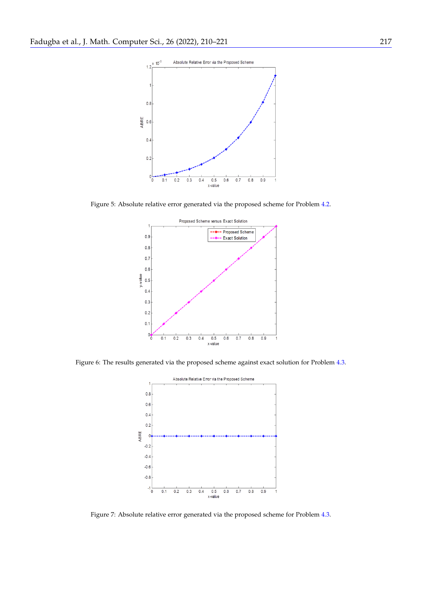

Figure 5: Absolute relative error generated via the proposed scheme for Problem [4.2.](#page-5-4)

<span id="page-7-1"></span>

<span id="page-7-0"></span>Figure 6: The results generated via the proposed scheme against exact solution for Problem [4.3.](#page-5-5)



<span id="page-7-2"></span>Figure 7: Absolute relative error generated via the proposed scheme for Problem [4.3.](#page-5-5)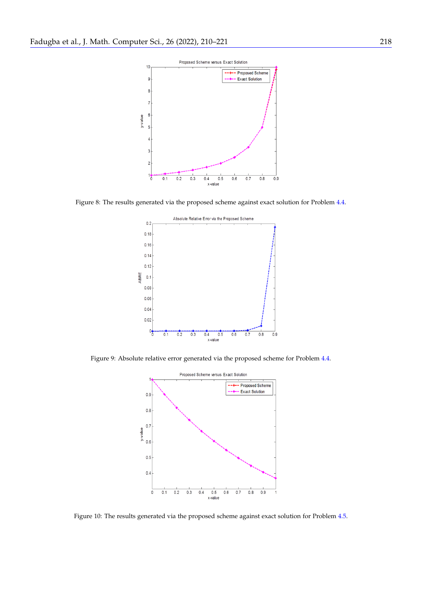

<span id="page-8-0"></span>Figure 8: The results generated via the proposed scheme against exact solution for Problem [4.4.](#page-5-6)



Figure 9: Absolute relative error generated via the proposed scheme for Problem [4.4.](#page-5-6)

<span id="page-8-2"></span>

<span id="page-8-1"></span>Figure 10: The results generated via the proposed scheme against exact solution for Problem [4.5.](#page-5-3)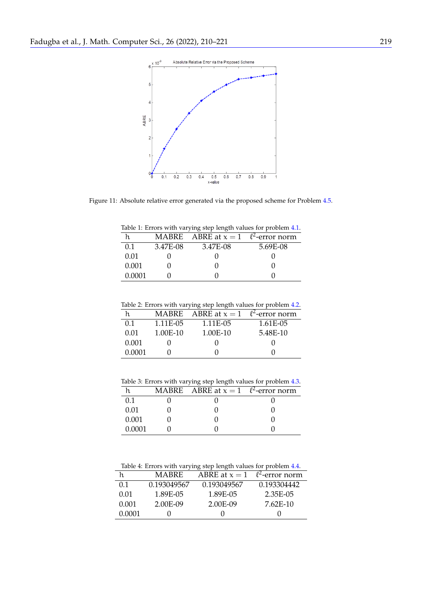

Figure 11: Absolute relative error generated via the proposed scheme for Problem [4.5.](#page-5-3)

<span id="page-9-1"></span><span id="page-9-0"></span>Table 1: Errors with varying step length values for problem [4.1.](#page-5-2)

| h.     |          | MABRE ABRE at $x = 1$ $\ell^2$ -error norm |          |
|--------|----------|--------------------------------------------|----------|
| 0.1    | 3.47E-08 | 3.47E-08                                   | 5.69E-08 |
| 0.01   |          |                                            |          |
| 0.001  |          |                                            |          |
| 0.0001 |          |                                            |          |

<span id="page-9-2"></span>

|        | MABRE    | ABRE at $x = 1$ $\ell^2$ -error norm |          |
|--------|----------|--------------------------------------|----------|
| 0.1    | 1.11E-05 | 1.11E-05                             | 1.61E-05 |
| 0.01   | 1.00E-10 | 1.00E-10                             | 5.48E-10 |
| 0.001  |          |                                      |          |
| 0.0001 |          |                                      |          |

<span id="page-9-3"></span>Table 3: Errors with varying step length values for problem [4.3.](#page-5-5)

|        | MABRE ABRE at $x = 1$ $\ell^2$ -error norm |  |
|--------|--------------------------------------------|--|
| 0.1    |                                            |  |
| 0.01   |                                            |  |
| 0.001  |                                            |  |
| 0.0001 |                                            |  |

<span id="page-9-4"></span>Table 4: Errors with varying step length values for problem [4.4.](#page-5-6)

| h.     | <b>MABRE</b> | ABRE at $x = 1$ | $\ell^2$ -error norm |
|--------|--------------|-----------------|----------------------|
| 0.1    | 0.193049567  | 0.193049567     | 0.193304442          |
| 0.01   | 1.89E-05     | 1.89E-05        | 2.35E-05             |
| 0.001  | 2.00E-09     | 2.00E-09        | 7.62E-10             |
| 0.0001 |              |                 |                      |
|        |              |                 |                      |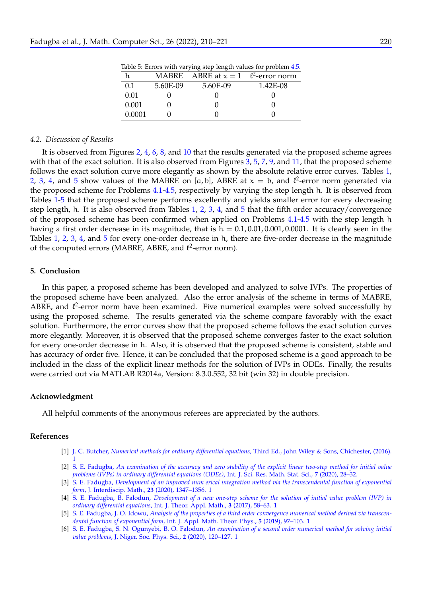<span id="page-10-6"></span>

| $\mu$ and $\sigma$ . Extends when you you can be a produced that $\mu$ . |          |                                      |          |
|--------------------------------------------------------------------------|----------|--------------------------------------|----------|
| h.                                                                       | MABRE    | ABRE at $x = 1$ $\ell^2$ -error norm |          |
| 0.1                                                                      | 5.60E-09 | 5.60E-09                             | 1.42E-08 |
| 0.01                                                                     |          |                                      |          |
| 0.001                                                                    |          |                                      |          |
| 0.0001                                                                   |          |                                      |          |

Table 5: Errors with varying step length values for problem [4.5.](#page-5-3)

#### *4.2. Discussion of Results*

It is observed from Figures [2,](#page-6-0) [4,](#page-6-1) [6,](#page-7-0) [8,](#page-8-0) and [10](#page-8-1) that the results generated via the proposed scheme agrees with that of the exact solution. It is also observed from Figures [3,](#page-6-2) [5,](#page-7-1) [7,](#page-7-2) [9,](#page-8-2) and [11,](#page-9-0) that the proposed scheme follows the exact solution curve more elegantly as shown by the absolute relative error curves. Tables [1,](#page-9-1) [2,](#page-9-2) [3,](#page-9-3) [4,](#page-9-4) and [5](#page-10-6) show values of the MABRE on [a, b], ABRE at  $x = b$ , and  $\ell^2$ -error norm generated via the proposed scheme for Problems [4.1](#page-5-2)[-4.5,](#page-5-3) respectively by varying the step length h. It is observed from Tables [1-](#page-9-1)[5](#page-10-6) that the proposed scheme performs excellently and yields smaller error for every decreasing step length, h. It is also observed from Tables [1,](#page-9-1) [2,](#page-9-2) [3,](#page-9-3) [4,](#page-9-4) and [5](#page-10-6) that the fifth order accuracy/convergence of the proposed scheme has been confirmed when applied on Problems [4.1-](#page-5-2)[4.5](#page-5-3) with the step length h having a first order decrease in its magnitude, that is  $h = 0.1, 0.01, 0.001, 0.0001$ . It is clearly seen in the Tables [1,](#page-9-1) [2,](#page-9-2) [3,](#page-9-3) [4,](#page-9-4) and [5](#page-10-6) for every one-order decrease in h, there are five-order decrease in the magnitude of the computed errors (MABRE, ABRE, and  $\ell^2$ -error norm).

## <span id="page-10-5"></span>**5. Conclusion**

In this paper, a proposed scheme has been developed and analyzed to solve IVPs. The properties of the proposed scheme have been analyzed. Also the error analysis of the scheme in terms of MABRE, ABRE, and  $\ell^2$ -error norm have been examined. Five numerical examples were solved successfully by using the proposed scheme. The results generated via the scheme compare favorably with the exact solution. Furthermore, the error curves show that the proposed scheme follows the exact solution curves more elegantly. Moreover, it is observed that the proposed scheme converges faster to the exact solution for every one-order decrease in h. Also, it is observed that the proposed scheme is consistent, stable and has accuracy of order five. Hence, it can be concluded that the proposed scheme is a good approach to be included in the class of the explicit linear methods for the solution of IVPs in ODEs. Finally, the results were carried out via MATLAB R2014a, Version: 8.3.0.552, 32 bit (win 32) in double precision.

#### **Acknowledgment**

All helpful comments of the anonymous referees are appreciated by the authors.

## **References**

- <span id="page-10-2"></span>[1] J. C. Butcher, *Numerical methods for ordinary differential equations*[, Third Ed., John Wiley & Sons, Chichester, \(2016\).](https://doi.org/10.1002/9781119121534) [1](#page-0-0)
- [2] S. E. Fadugba, *[An examination of the accuracy and zero stability of the explicit linear two-step method for initial value](https://www.isroset.org/journal/IJSRMSS/full_paper_view.php?paper_id=1933) [problems \(IVPs\) in ordinary differential equations \(ODEs\)](https://www.isroset.org/journal/IJSRMSS/full_paper_view.php?paper_id=1933)*, Int. J. Sci. Res. Math. Stat. Sci., **7** (2020), 28–32.
- <span id="page-10-3"></span>[3] S. E. Fadugba, *[Development of an improved num erical integration method via the transcendental function of exponential](https://www.tandfonline.com/doi/abs/10.1080/09720502.2020.1747196) form*[, J. Interdiscip. Math.,](https://www.tandfonline.com/doi/abs/10.1080/09720502.2020.1747196) **23** (2020), 1347–1356. [1](#page-0-0)
- <span id="page-10-0"></span>[4] S. E. Fadugba, B. Falodun, *[Development of a new one-step scheme for the solution of initial value problem \(IVP\) in](http://article.ijotam.org/pdf/10.11648.j.ijtam.20170302.12.pdf) [ordinary differential equations](http://article.ijotam.org/pdf/10.11648.j.ijtam.20170302.12.pdf)*, Int. J. Theor. Appl. Math., **3** (2017), 58–63. [1](#page-0-0)
- <span id="page-10-1"></span>[5] S. E. Fadugba, J. O. Idowu, *[Analysis of the properties of a third order convergence numerical method derived via transcen](http://article.ijamtp.org/pdf/10.11648.j.ijamtp.20190504.11.pdf)dental function of exponential form*[, Int. J. Appl. Math. Theor. Phys.,](http://article.ijamtp.org/pdf/10.11648.j.ijamtp.20190504.11.pdf) **5** (2019), 97–103. [1](#page-0-0)
- <span id="page-10-4"></span>[6] S. E. Fadugba, S. N. Ogunyebi, B. O. Falodun, *[An examination of a second order numerical method for solving initial](https://doi.org/10.46481/jnsps.2020.92) value problems*[, J. Niger. Soc. Phys. Sci.,](https://doi.org/10.46481/jnsps.2020.92) **2** (2020), 120–127. [1](#page-0-0)